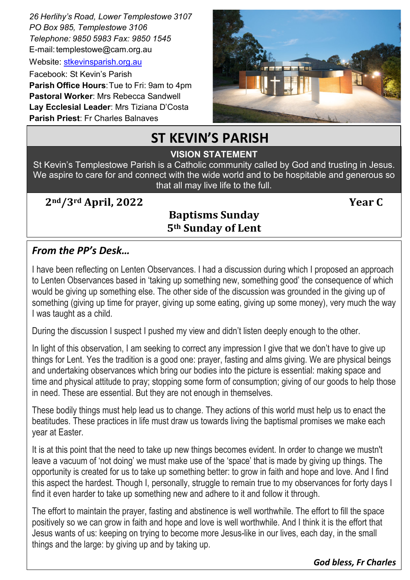*26 Herlihy's Road, Lower Templestowe 3107 PO Box 985, Templestowe 3106 Telephone: 9850 5983 Fax: 9850 1545* E-mail[: templestowe@cam.org.au](mailto:templestowe@cam.org.au) 

Website: [stkevinsparish.org.au](http://pol.org.au/templestowe/Home.aspx)

Facebook: St Kevin's Parish **Parish Office Hours**: Tue to Fri: 9am to 4pm **Pastoral Worker**: Mrs Rebecca Sandwell **Lay Ecclesial Leader**: Mrs Tiziana D'Costa **Parish Priest**: Fr Charles Balnaves



# **ST KEVIN'S PARISH**

#### St. Kevin's is a welcoming community founded on the Father's LOVE for us and by giving service to all. **VISION STATEMENT**

St Kevin's Templestowe Parish is a Catholic community called by God and trusting in Jesus. We aspire to care for and connect with the wide world and to be hospitable and generous so that all may live life to the full.

**2nd/3rd April, 2022 Year C**

### **Baptisms Sunday 5th Sunday of Lent**

#### *From the PP's Desk…*

I have been reflecting on Lenten Observances. I had a discussion during which I proposed an approach to Lenten Observances based in 'taking up something new, something good' the consequence of which would be giving up something else. The other side of the discussion was grounded in the giving up of something (giving up time for prayer, giving up some eating, giving up some money), very much the way I was taught as a child.

During the discussion I suspect I pushed my view and didn't listen deeply enough to the other.

In light of this observation, I am seeking to correct any impression I give that we don't have to give up things for Lent. Yes the tradition is a good one: prayer, fasting and alms giving. We are physical beings and undertaking observances which bring our bodies into the picture is essential: making space and time and physical attitude to pray; stopping some form of consumption; giving of our goods to help those in need. These are essential. But they are not enough in themselves.

These bodily things must help lead us to change. They actions of this world must help us to enact the beatitudes. These practices in life must draw us towards living the baptismal promises we make each year at Easter.

It is at this point that the need to take up new things becomes evident. In order to change we mustn't leave a vacuum of 'not doing' we must make use of the 'space' that is made by giving up things. The opportunity is created for us to take up something better: to grow in faith and hope and love. And I find this aspect the hardest. Though I, personally, struggle to remain true to my observances for forty days I find it even harder to take up something new and adhere to it and follow it through.

The effort to maintain the prayer, fasting and abstinence is well worthwhile. The effort to fill the space positively so we can grow in faith and hope and love is well worthwhile. And I think it is the effort that Jesus wants of us: keeping on trying to become more Jesus-like in our lives, each day, in the small things and the large: by giving up and by taking up.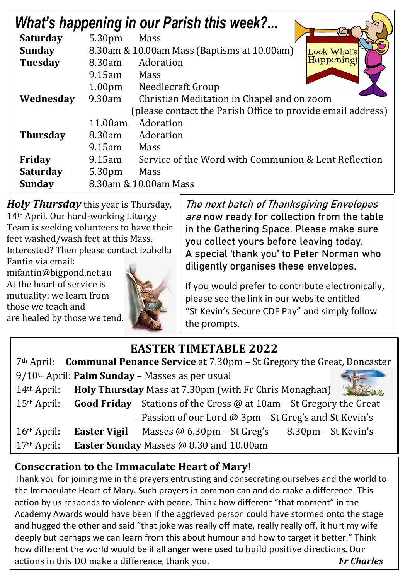| <b>What's happening in our Parish this week?</b>            |                                                            |                                                      |  |  |
|-------------------------------------------------------------|------------------------------------------------------------|------------------------------------------------------|--|--|
| <b>Saturday</b>                                             | 5.30pm                                                     | <b>Mass</b>                                          |  |  |
| <b>Sunday</b>                                               | 8.30am & 10.00am Mass (Baptisms at 10.00am)<br>Look What's |                                                      |  |  |
| <b>Tuesday</b>                                              | 8.30am                                                     | Happening<br>Adoration                               |  |  |
|                                                             | $9.15$ am                                                  | Mass                                                 |  |  |
|                                                             | 1.00 <sub>pm</sub>                                         | Needlecraft Group                                    |  |  |
| Wednesday                                                   | 9.30am                                                     | Christian Meditation in Chapel and on zoom           |  |  |
| (please contact the Parish Office to provide email address) |                                                            |                                                      |  |  |
|                                                             | 11.00am                                                    | Adoration                                            |  |  |
| <b>Thursday</b>                                             | 8.30am                                                     | Adoration                                            |  |  |
|                                                             | $9.15$ am                                                  | Mass                                                 |  |  |
| Friday                                                      | $9.15$ am                                                  | Service of the Word with Communion & Lent Reflection |  |  |
| <b>Saturday</b>                                             | 5.30pm                                                     | Mass                                                 |  |  |
| <b>Sunday</b>                                               | 8.30am & 10.00am Mass                                      |                                                      |  |  |

*Holy Thursday* this year is Thursday, 14th April. Our hard-working Liturgy Team is seeking volunteers to have their feet washed/wash feet at this Mass.

Interested? Then please con[tact Izabella](http://www.google.com.au/url?sa=i&rct=j&q=&esrc=s&source=images&cd=&cad=rja&uact=8&ved=2ahUKEwi4tsSY3v7ZAhULxLwKHav6DL8QjRx6BAgAEAU&url=http://www.turnbacktogod.com/jesus-washing-feet-of-disciples-pictures/&psig=AOvVaw1qzJygtjkVirJFQzDJIxBZ&ust=1521767052809917) 

Fantin via email: mifantin@bigpond.net.au At the heart of service is mutuality: we learn from those we teach and are healed by those we tend.



The next batch of Thanksgiving Envelopes are now ready for collection from the table in the Gathering Space. Please make sure you collect yours before leaving today. A special 'thank you' to Peter Norman who diligently organises these envelopes.

If you would prefer to contribute electronically, please see the link in our website entitled "St Kevin's Secure CDF Pay" and simply follow the prompts.

# **EASTER TIMETABLE 2022**

| 7th April: <b>Communal Penance Service</b> at 7.30pm – St Gregory the Great, Doncaster |                                                                                    |  |  |  |
|----------------------------------------------------------------------------------------|------------------------------------------------------------------------------------|--|--|--|
| $9/10$ <sup>th</sup> April: <b>Palm Sunday</b> – Masses as per usual                   |                                                                                    |  |  |  |
| $14th$ April:                                                                          | Holy Thursday Mass at 7.30pm (with Fr Chris Monaghan)                              |  |  |  |
| $15th$ April:                                                                          | <b>Good Friday</b> – Stations of the Cross $\omega$ at 10am – St Gregory the Great |  |  |  |
| - Passion of our Lord @ 3pm - St Greg's and St Kevin's                                 |                                                                                    |  |  |  |
| $16th$ April:                                                                          | <b>Easter Vigil</b><br>8.30pm – St Kevin's<br>Masses @ $6.30$ pm – St Greg's       |  |  |  |
| $17th$ April:                                                                          | <b>Easter Sunday Masses @ 8.30 and 10.00am</b>                                     |  |  |  |

## **Consecration to the Immaculate Heart of Mary!**

Thank you for joining me in the prayers entrusting and consecrating ourselves and the world to the Immaculate Heart of Mary. Such prayers in common can and do make a difference. This action by us responds to violence with peace. Think how different "that moment" in the Academy Awards would have been if the aggrieved person could have stormed onto the stage and hugged the other and said "that joke was really off mate, really really off, it hurt my wife deeply but perhaps we can learn from this about humour and how to target it better." Think how different the world would be if all anger were used to build positive directions. Our actions in this DO make a difference, thank you. *Fr Charles*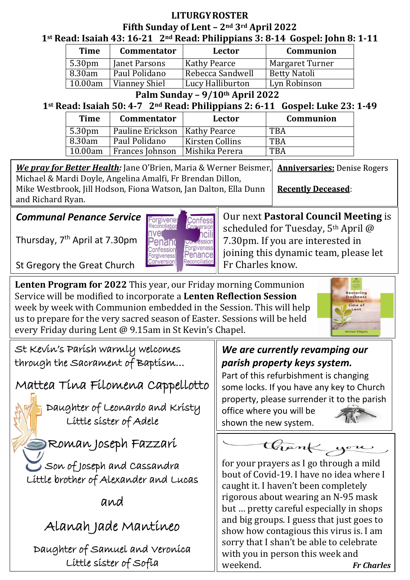#### **LITURGY ROSTER Fifth Sunday of Lent – 2nd 3rd April 2022 1st Read: Isaiah 43: 16-21 2nd Read: Philippians 3: 8-14 Gospel: John 8: 1-11**

| <b>Time</b>        | <b>Commentator</b>   | Lector              | Communion       |
|--------------------|----------------------|---------------------|-----------------|
| 5.30 <sub>pm</sub> | Janet Parsons        | <b>Kathy Pearce</b> | Margaret Turner |
| 8.30am             | Paul Polidano        | Rebecca Sandwell    | Betty Natoli    |
| 10.00am            | <b>Vianney Shiel</b> | Lucy Halliburton    | Lyn Robinson    |

**Palm Sunday – 9/10th April 2022**

### **1st Read: Isaiah 50: 4-7 2nd Read: Philippians 2: 6-11 Gospel: Luke 23: 1-49**

| <b>Time</b>        | <b>Commentator</b>              | Lector                 | Communion  |
|--------------------|---------------------------------|------------------------|------------|
| 5.30 <sub>pm</sub> | Pauline Erickson   Kathy Pearce |                        | <b>TBA</b> |
| 8.30am             | Paul Polidano                   | <b>Kirsten Collins</b> | <b>TBA</b> |
| 10.00am            | Frances Johnson                 | Mishika Perera         | <b>TBA</b> |

 *We pray for Better Health:* Jane O'Brien, Maria & Werner Beismer, **Anniversaries: Denise Rogers** Michael & Mardi Doyle, Angelina Amalfi, Fr Brendan Dillon, Mike Westbrook, Jill Hodson, Fiona Watson, Jan Dalton, Ella Dunn **Recently Deceased:** and Richard Ryan.

#### *Communal Penance Service*

Thursday, 7<sup>th</sup> April at 7.30pm



Our next **Pastoral Council Meeting** is scheduled for Tuesday, 5<sup>th</sup> April @ 7.30pm. If you are interested in joining this dynamic team, please let Fr Charles know.

St Gregory the Great Church

**Lenten Program for 2022** This year, our Friday morning Communion Service will be modified to incorporate a **Lenten Reflection Session**  week by week with Communion embedded in the Session. This will help us to prepare for the very sacred season of Easter. Sessions will be held every Friday during Lent @ 9.15am in St Kevin's Chapel.



St Kevin's Parish warmly welcomes through the Sacrament of Baptism…

Mattea Tina Filomena Cappellotto

 Daughter of Leonardo and Kristy Little sister of Adele

Roman Joseph Fazzari

Son of Joseph and Cassandra Little brother of Alexander and Lucas

and

Alanah Jade Mantineo

Daughter of Samuel and Veronica Little sister of Sofia

## *We are currently revamping our parish property keys system.*

Part of this refurbishment is changing some locks. If you have any key to Church property, please surrender it to the parish office where you will be shown the new system.

thank you

for your prayers as I go through a mild bout of Covid-19. I have no idea where I caught it. I haven't been completely rigorous about wearing an N-95 mask but … pretty careful especially in shops and big groups. I guess that just goes to show how contagious this virus is. I am sorry that I shan't be able to celebrate with you in person this week and weekend. *Fr Charles*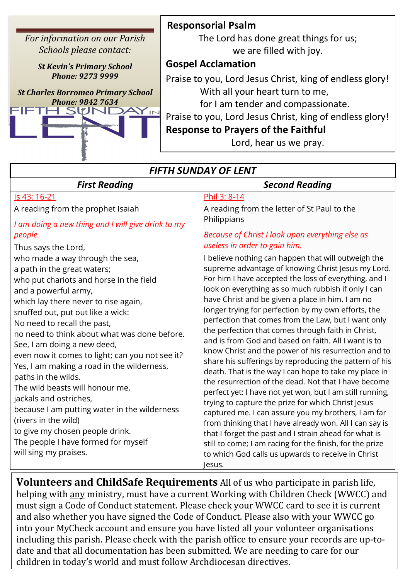*For information on our Parish Schools please contact:* 

> *St Kevin's Primary School Phone: 9273 9999*

*St Charles Borromeo Primary School* 



#### **Responsorial Psalm**

The Lord has done great things for us; we are filled with joy.

#### **Gospel Acclamation**

Praise to you, Lord Jesus Christ, king of endless glory! With all your heart turn to me,

for I am tender and compassionate.

Praise to you, Lord Jesus Christ, king of endless glory!

#### **Response to Prayers of the Faithful**

Lord, hear us we pray.

| <b>FIFTH SUNDAY OF LENT</b>                                                                                                                                                                                                                                                                                                                                                                                                                                                                                                                                                                                                                                                                                                                                                                                                               |                                                                                                                                                                                                                                                                                                                                                                                                                                                                                                                                                                                                                                                                                                                                                                                                                                                                                                                                                                                                                                                                                                                                                                                                                                                                                                                                |  |  |  |
|-------------------------------------------------------------------------------------------------------------------------------------------------------------------------------------------------------------------------------------------------------------------------------------------------------------------------------------------------------------------------------------------------------------------------------------------------------------------------------------------------------------------------------------------------------------------------------------------------------------------------------------------------------------------------------------------------------------------------------------------------------------------------------------------------------------------------------------------|--------------------------------------------------------------------------------------------------------------------------------------------------------------------------------------------------------------------------------------------------------------------------------------------------------------------------------------------------------------------------------------------------------------------------------------------------------------------------------------------------------------------------------------------------------------------------------------------------------------------------------------------------------------------------------------------------------------------------------------------------------------------------------------------------------------------------------------------------------------------------------------------------------------------------------------------------------------------------------------------------------------------------------------------------------------------------------------------------------------------------------------------------------------------------------------------------------------------------------------------------------------------------------------------------------------------------------|--|--|--|
| <b>First Reading</b>                                                                                                                                                                                                                                                                                                                                                                                                                                                                                                                                                                                                                                                                                                                                                                                                                      | <b>Second Reading</b>                                                                                                                                                                                                                                                                                                                                                                                                                                                                                                                                                                                                                                                                                                                                                                                                                                                                                                                                                                                                                                                                                                                                                                                                                                                                                                          |  |  |  |
| Is 43: 16-21<br>A reading from the prophet Isaiah<br>I am doing a new thing and I will give drink to my<br>people.<br>Thus says the Lord,<br>who made a way through the sea,<br>a path in the great waters;<br>who put chariots and horse in the field<br>and a powerful army,<br>which lay there never to rise again,<br>snuffed out, put out like a wick:<br>No need to recall the past,<br>no need to think about what was done before.<br>See, I am doing a new deed,<br>even now it comes to light; can you not see it?<br>Yes, I am making a road in the wilderness,<br>paths in the wilds.<br>The wild beasts will honour me,<br>jackals and ostriches,<br>because I am putting water in the wilderness<br>(rivers in the wild)<br>to give my chosen people drink.<br>The people I have formed for myself<br>will sing my praises. | Phil 3: 8-14<br>A reading from the letter of St Paul to the<br>Philippians<br>Because of Christ I look upon everything else as<br>useless in order to gain him.<br>I believe nothing can happen that will outweigh the<br>supreme advantage of knowing Christ Jesus my Lord.<br>For him I have accepted the loss of everything, and I<br>look on everything as so much rubbish if only I can<br>have Christ and be given a place in him. I am no<br>longer trying for perfection by my own efforts, the<br>perfection that comes from the Law, but I want only<br>the perfection that comes through faith in Christ,<br>and is from God and based on faith. All I want is to<br>know Christ and the power of his resurrection and to<br>share his sufferings by reproducing the pattern of his<br>death. That is the way I can hope to take my place in<br>the resurrection of the dead. Not that I have become<br>perfect yet: I have not yet won, but I am still running,<br>trying to capture the prize for which Christ Jesus<br>captured me. I can assure you my brothers, I am far<br>from thinking that I have already won. All I can say is<br>that I forget the past and I strain ahead for what is<br>still to come; I am racing for the finish, for the prize<br>to which God calls us upwards to receive in Christ |  |  |  |
|                                                                                                                                                                                                                                                                                                                                                                                                                                                                                                                                                                                                                                                                                                                                                                                                                                           | lesus.                                                                                                                                                                                                                                                                                                                                                                                                                                                                                                                                                                                                                                                                                                                                                                                                                                                                                                                                                                                                                                                                                                                                                                                                                                                                                                                         |  |  |  |

**Volunteers and ChildSafe Requirements** All of us who participate in parish life, helping with any ministry, must have a current Working with Children Check (WWCC) and must sign a Code of Conduct statement. Please check your WWCC card to see it is current and also whether you have signed the Code of Conduct. Please also with your WWCC go into your MyCheck account and ensure you have listed all your volunteer organisations including this parish. Please check with the parish office to ensure your records are up-todate and that all documentation has been submitted. We are needing to care for our children in today's world and must follow Archdiocesan directives.